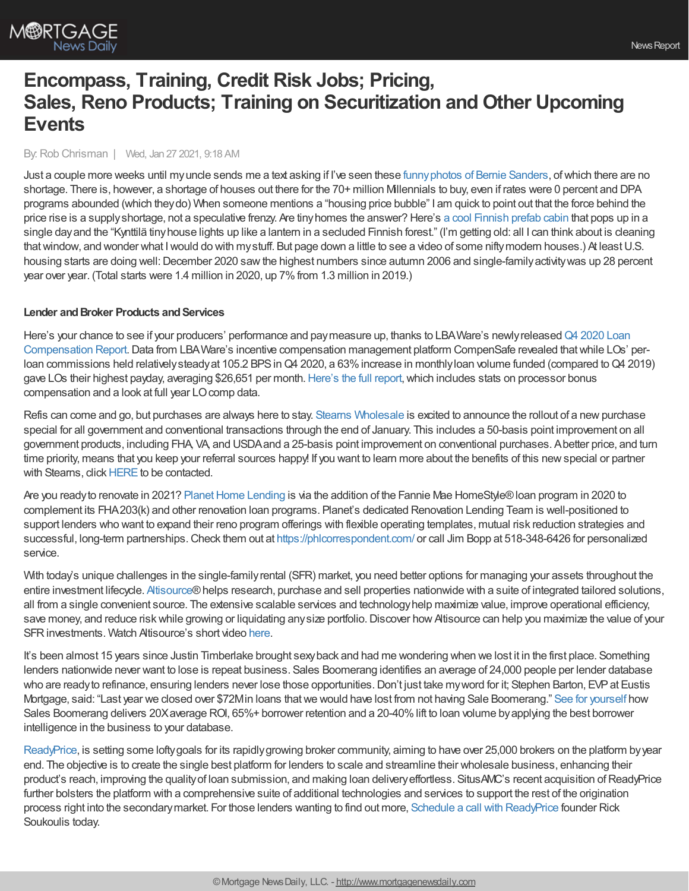# **Encompass, Training, Credit Risk Jobs; Pricing, Sales, Reno Products; Training on Securitization and Other Upcoming Events**

#### By:Rob Chrisman | Wed, Jan 27 2021, 9:18 AM

Just a couple more weeks until myuncle sends me a text asking if I've seen these [funnyphotos](https://www.workandmoney.com/s/best-bernie-sanders-mittens-memes-d401299fa2494984) of Bernie Sanders, ofwhich there are no shortage. There is, however, a shortage of houses out there for the 70+ million Millennials to buy, even if rates were 0 percent and DPA programs abounded (which theydo) When someone mentions a "housing price bubble" I am quick to point out that the force behind the price rise is a supplyshortage, not a speculative frenzy. Are tinyhomes the answer? Here's a cool [Finnish](https://www.dwell.com/article/kynttila-ortraum-architects-982c1144) prefab cabin that pops up in a single dayand the "Kynttilä tinyhouse lights up like a lantern in a secluded Finnish forest." (I'm getting old: all I can think about is cleaning that window, and wonder what I would do with my stuff. But page down a little to see a video of some nifty modern houses.) At least U.S. housing starts are doing well: December 2020 saw the highest numbers since autumn 2006 and single-family activity was up 28 percent year over year. (Total starts were 1.4 million in 2020, up 7%from 1.3 million in 2019.)

### **Lender** and **Broker Products** and **Services**

Here's your chance to see if your producers' performance and pay measure up, thanks to LBAWare's newly released Q4 2020 Loan Compensation Report. Data from LBA Ware's incentive compensation management platform CompenSafe revealed that while LOs' perloan commissions held relatively steady at 105.2 BPS in Q4 2020, a 63% increase in monthly loan volume funded (compared to Q4 2019) gave LOs their highest payday, averaging \$26,651 per month. [Here's](https://bit.ly/3a3QkOV) the full report, which includes stats on processor bonus compensation and a look at full year LO comp data.

Refis can come and go, but purchases are always here to stay. Stearns [Wholesale](https://www.stearnswholesale.com/) is excited to announce the rollout of a new purchase special for all government and conventional transactions through the end of January. This includes a 50-basis point improvement on all government products, including FHA, VA, and USDAand a 25-basis point improvement on conventional purchases. Abetter price, and turn time priority, means that you keep your referral sources happy! If you want to learn more about the benefits of this new special or partner with Stearns, click [HERE](https://sites.totalexpert.net/event-registration/new-broker---chrisman-387548) to be contacted.

Are you ready to renovate in 2021? Planet Home Lending is via the addition of the Fannie Mae HomeStyle® loan program in 2020 to complement its FHA203(k) and other renovation loan programs. Planet's dedicated Renovation Lending Team is well-positioned to support lenders who want to expand their reno program offerings with flexible operating templates, mutual risk reduction strategies and successful, long-term partnerships.Check them out at <https://phlcorrespondent.com/> or call Jim Bopp at 518-348-6426 for personalized service.

With today's unique challenges in the single-family rental (SFR) market, you need better options for managing your assets throughout the entire investment lifecycle. [Altisource](https://www.altisource.com/?utm_source=chrisman&utm_medium=ad&utm_campaign=Single_Family_Rental)®helps research, purchase and sell properties nationwide with a suite of integrated tailored solutions, all from a single convenient source. The extensive scalable services and technologyhelp maximize value, improve operational efficiency, save money, and reduce risk while growing or liquidating any size portfolio. Discover how Altisource can help you maximize the value of your SFR investments. Watch Altisource's short video [here](https://pages.altisource.com/210127-SFRVideo-Chrisman.html).

It's been almost 15 years since Justin Timberlake brought sexyback and had me wondering when we lost it in the first place. Something lenders nationwide never want to lose is repeat business. Sales Boomerang identifies an average of 24,000 people per lender database who are ready to refinance, ensuring lenders never lose those opportunities. Don't just take my word for it; Stephen Barton, EVP at Eustis Mortgage, said: "Last year we closed over \$72Min loans thatwe would have lost from not having Sale Boomerang." See for [yourself](https://hubs.ly/H0FpkPC0) how Sales Boomerang delivers 20X average ROI, 65%+ borrower retention and a 20-40% lift to loan volume by applying the best borrower intelligence in the business to your database.

[ReadyPrice](https://www.readyprice.com/lenders), is setting some lofty goals for its rapidly growing broker community, aiming to have over 25,000 brokers on the platform by year end. The objective is to create the single best platform for lenders to scale and streamline their wholesale business, enhancing their product's reach, improving the quality of loan submission, and making loan delivery effortless. SitusAMC's recent acquisition of ReadyPrice further bolsters the platform with a comprehensive suite of additional technologies and services to support the rest of the origination process right into the secondarymarket. For those lenders wanting to find out more, Schedule a call with [ReadyPrice](https://meetings.hubspot.com/readyprice/lender-sync) founder Rick Soukoulis today.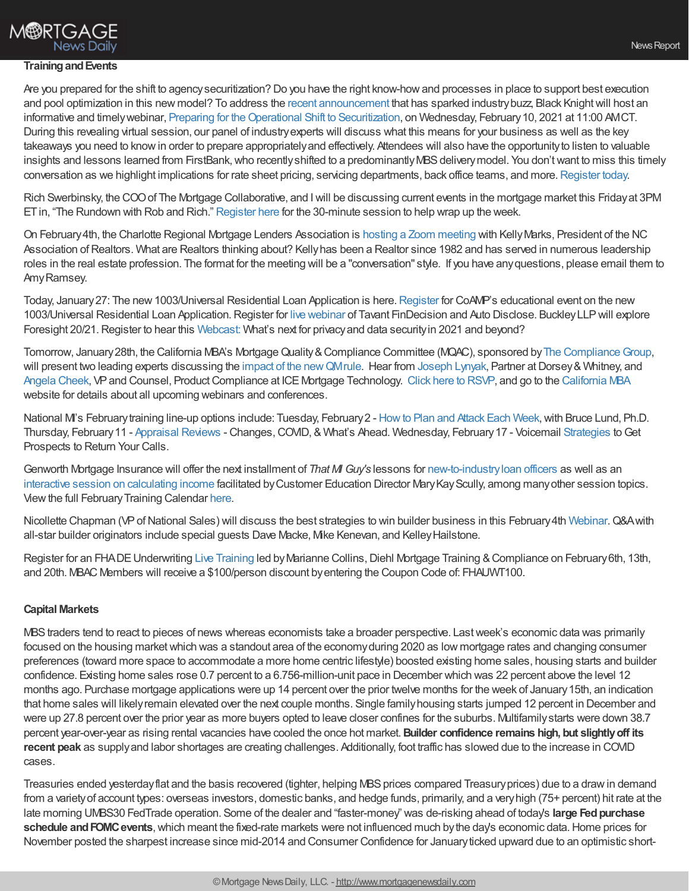## **M®RTGAGE News Daily**

#### **TrainingandEvents**

Are you prepared for the shift to agencysecuritization? Do you have the right know-howand processes in place to support best execution and pool optimization in this new model? To address the recent [announcement](https://nam04.safelinks.protection.outlook.com/?url=https%253A%252F%252Fhome.treasury.gov%252Fnews%252Fpress-releases%252Fsm1236&data=04%257C01%257CEmily.Engstrom%2540bkfs.com%257C9259316d367b4d70b66508d8c247e879%257C74ef4d5224794bb98d36530beb14e556%257C0%257C0%257C637472961408381966%257CUnknown%257CTWFpbGZsb3d8eyJWIjoiMC4wLjAwMDAiLCJQIjoiV2luMzIiLCJBTiI6Ik1haWwiLCJXVCI6Mn0%253D%257C1000&sdata=wQDY9Sf9QFozsu77ZZJ2L2qHSLUISV1c%252Fsy%252FYf9gLT8%253D&reserved=0) that has sparked industry buzz, Black Knight will host an informative and timely webinar, Preparing for the Operational Shift to Securitization, on Wednesday, February 10, 2021 at 11:00 AMCT. During this revealing virtual session, our panel of industryexperts will discuss what this means for your business as well as the key takeaways you need to knowin order to prepare appropriatelyand effectively. Attendees will also have the opportunityto listen to valuable insights and lessons learned from FirstBank, who recently shifted to a predominantly MBS delivery model. You don't want to miss this timely conversation as we highlight implications for rate sheet pricing, servicing departments, back office teams, and more. [Register](https://nam04.safelinks.protection.outlook.com/?url=https%253A%252F%252Fattendee.gotowebinar.com%252Fregister%252F4969211328485852176&data=04%257C01%257CEmily.Engstrom%2540bkfs.com%257C9259316d367b4d70b66508d8c247e879%257C74ef4d5224794bb98d36530beb14e556%257C0%257C0%257C637472961408391920%257CUnknown%257CTWFpbGZsb3d8eyJWIjoiMC4wLjAwMDAiLCJQIjoiV2luMzIiLCJBTiI6Ik1haWwiLCJXVCI6Mn0%253D%257C1000&sdata=nAZKrnmw98w439fADzFe%252BLKbMFt7ChmTFjzd%252B2Bc6B0%253D&reserved=0) today.

Rich Swerbinsky, the COOof The Mortgage Collaborative, and Iwill be discussing current events in the mortgage market this Fridayat 3PM ETin, "The Rundown with Rob and Rich." [Register](https://mtgcoop.zoom.us/webinar/register/WN_hOUDEqURT9m3mhKCJWRM-A) here for the 30-minute session to help wrap up the week.

On February4th, the Charlotte Regional Mortgage Lenders Association is hosting a Zoom [meeting](https://atlanticbay.zoom.us/meeting/register/tJYqdOGvqTwrGNPJ62Cj4VWlkkAzVkBu_Gg0) with KellyMarks, President of the NC Association of Realtors. What are Realtors thinking about? Kelly has been a Realtor since 1982 and has served in numerous leadership roles in the real estate profession. The format for the meeting will be a "conversation" style. If you have anyquestions, please email them to AmyRamsey.

Today, January 27: The new 1003/Universal Residential Loan Application is here. [Register](http://coamp.wildapricot.org/event-4112147) for CoAMP's educational event on the new 1003/Universal Residential Loan Application.Register for live [webinar](https://zoom.us/webinar/register/WN_z5jbObw0R2Kg7hQq1mBwvA) of Tavant FinDecision and Auto Disclose. BuckleyLLPwill explore Foresight 20/21.Register to hear this [Webcast:](https://go.buckleyfirm.com/WC-2021-01-27-Whatsnextforprivacyanddatasecurityin2021andbeyond_LP-Registration.html) What's next for privacyand data securityin 2021 and beyond?

Tomorrow, January 28th, the California MBA's Mortgage Quality & Compliance Committee (MQAC), sponsored by The Compliance Group, will present two leading experts discussing the impact of the new QMrule. Hear from [Joseph](https://www.linkedin.com/in/joe-lynyak-1745b1a/) Lynyak, Partner at Dorsey & Whitney, and [Angela](https://www.linkedin.com/in/angela-c-45337ba/) Cheek, VP and Counsel, Product Compliance at ICE Mortgage Technology. Click here to [RSVP,](https://register.gotowebinar.com/register/3354379491057896718) and go to the [California](https://cmba.com/events-home/) MBA website for details about all upcoming webinars and conferences.

National M's February training line-up options include: Tuesday, February 2 - How to Plan and Attack Each Week, with Bruce Lund, Ph.D. Thursday, February 11 - [Appraisal](https://register.gotowebinar.com/register/8052718020511945998) Reviews - Changes, COVID, & What's Ahead. Wednesday, February 17 - Voicemail [Strategies](https://register.gotowebinar.com/register/9005127087031029775) to Get Prospects to Return Your Calls.

Genworth Mortgage Insurance will offer the next installment of *That MI Guy's* lessons for [new-to-industryloan](http://go.genworth.com/I0K0pNU0daMcYW2f090WW01) officers as well as an interactive session on [calculating](https://new.mortgageinsurance.genworth.com/training/course/best-practices-calculating-income-interactive#register) income facilitated byCustomer Education Director MaryKayScully, among manyother session topics. Viewthe full FebruaryTraining Calendar [here.](https://new.mortgageinsurance.genworth.com/training-calendar?view=events&ym=202102&utm_medium=referral&utm_source=crisman&utm_campaign=webinar-calendar&utm_content=feb)

Nicollette Chapman (VP of National Sales) will discuss the best strategies to win builder business in this February 4th [Webinar](https://meyersresearch.zoom.us/webinar/register/WN_KlchI3IXQD-MqMd8-ICbtA). Q&A with all-star builder originators include special guests Dave Macke, Mike Kenevan, and Kelley Hailstone.

Register for an FHADE Underwriting Live [Training](https://diehleducation.com/fha-underwriter/mbac/) led by Marianne Collins, Diehl Mortgage Training & Compliance on February 6th, 13th, and 20th. MBAC Members will receive a \$100/person discount byentering the Coupon Code of: FHAUWT100.

## **Capital Markets**

MBStraders tend to react to pieces of news whereas economists take a broader perspective. Lastweek's economic data was primarily focused on the housing marketwhich was a standout area of the economyduring 2020 as low mortgage rates and changing consumer preferences (toward more space to accommodate a more home centric lifestyle) boosted existing home sales, housing starts and builder confidence. Existing home sales rose 0.7 percent to a 6.756-million-unit pace in December which was 22 percent above the level 12 months ago. Purchase mortgage applications were up 14 percent over the prior twelve months for the week of January15th, an indication that home sales will likelyremain elevated over the next couple months. Single familyhousing starts jumped 12 percent in December and were up 27.8 percent over the prior year as more buyers opted to leave closer confines for the suburbs. Multifamilystarts were down 38.7 percent year-over-year as rising rental vacancies have cooled the once hot market.**Builder confidence remains high, but slightlyoff its recent peak** as supplyand labor shortages are creating challenges. Additionally, foot traffic has slowed due to the increase in COVID cases.

Treasuries ended yesterday flat and the basis recovered (tighter, helping MBS prices compared Treasury prices) due to a draw in demand from a varietyof account types: overseas investors, domestic banks, and hedge funds, primarily, and a veryhigh (75+ percent) hit rate at the late morning UMBS30 FedTrade operation. Some of the dealer and "faster-money" was de-risking ahead of today's **large Fedpurchase schedule and FOMC events**, which meant the fixed-rate markets were not influenced much by the day's economic data. Home prices for November posted the sharpest increase since mid-2014 and Consumer Confidence for Januaryticked upward due to an optimistic short-